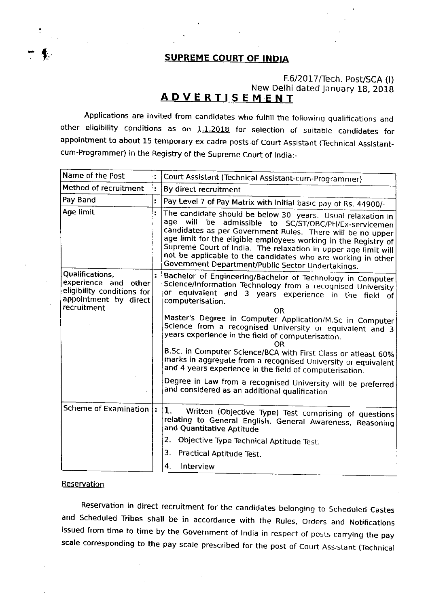### SUPREME COURT OF INDIA

### F.6/2017/Tech. Post/SCA (I) New Delhi dated January 18, 2018 ADVERTISEMENT

Applications are invited from candidates who fulfill the following qualifications and other eligibility conditions as on  $1.1.2018$  for selection of suitable candidates for appointment to about 15 temporary ex cadre posts of Court Assistant (Technical Assistantcum-Programmer) in the Registry of the Supreme Court of India:-

| Name of the Post                                                                                              | ŧ                    | Court Assistant (Technical Assistant-cum-Programmer)                                                                                                                                                                                                                                                                                                                                                                                                                                                                                                                                                                                                                                                                |
|---------------------------------------------------------------------------------------------------------------|----------------------|---------------------------------------------------------------------------------------------------------------------------------------------------------------------------------------------------------------------------------------------------------------------------------------------------------------------------------------------------------------------------------------------------------------------------------------------------------------------------------------------------------------------------------------------------------------------------------------------------------------------------------------------------------------------------------------------------------------------|
| Method of recruitment                                                                                         | $\ddot{\phantom{a}}$ | By direct recruitment                                                                                                                                                                                                                                                                                                                                                                                                                                                                                                                                                                                                                                                                                               |
| Pay Band                                                                                                      | $\ddot{\phantom{a}}$ | Pay Level 7 of Pay Matrix with initial basic pay of Rs. 44900/-                                                                                                                                                                                                                                                                                                                                                                                                                                                                                                                                                                                                                                                     |
| Age limit                                                                                                     |                      | The candidate should be below 30 years. Usual relaxation in<br>age will be admissible to SC/ST/OBC/PH/Ex-servicemen<br>candidates as per Government Rules. There will be no upper<br>age limit for the eligible employees working in the Registry of<br>Supreme Court of India. The relaxation in upper age limit will<br>not be applicable to the candidates who are working in other<br>Government Department/Public Sector Undertakings.                                                                                                                                                                                                                                                                         |
| Qualifications,<br>experience and other<br>eligibility conditions for<br>appointment by direct<br>recruitment |                      | Bachelor of Engineering/Bachelor of Technology in Computer<br>Science/Information Technology from a recognised University<br>or equivalent and 3 years experience in the field of<br>computerisation.<br><b>OR</b><br>Master's Degree in Computer Application/M.Sc in Computer<br>Science from a recognised University or equivalent and 3<br>years experience in the field of computerisation.<br>OR<br>B.Sc. in Computer Science/BCA with First Class or atleast 60%<br>marks in aggregate from a recognised University or equivalent<br>and 4 years experience in the field of computerisation.<br>Degree in Law from a recognised University will be preferred<br>and considered as an additional qualification |
| Scheme of Examination  :                                                                                      |                      | 1.<br>Written (Objective Type) Test comprising of questions<br>relating to General English, General Awareness, Reasoning<br>and Quantitative Aptitude<br>2.<br>Objective Type Technical Aptitude Test.<br>3. Practical Aptitude Test.<br>4.<br>Interview                                                                                                                                                                                                                                                                                                                                                                                                                                                            |

#### **Reservation**

Reservation in direct recruitment for the candidates belonging to Scheduled Castes and Scheduled Tribes shall be in accordance with the Rules, Orders and Notifications issued from time to time by the Government of India in respect of posts carrying the pay scale corresponding to the pay scale prescribed for the post of Court Assistant (Technical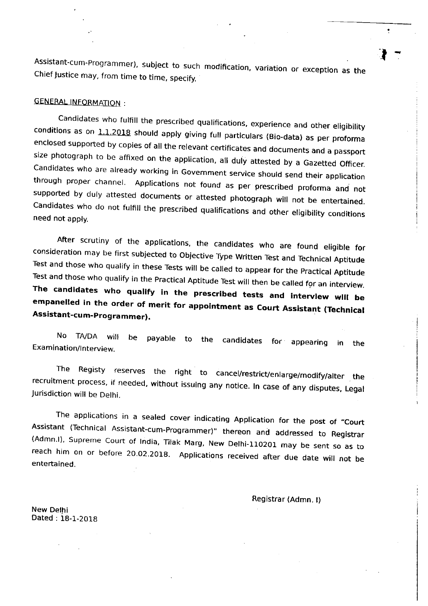Assistant-cum-Programmer), subject to such modification, variation or exception as the Chief Justice may, from time to time, specify.

# **GENERAL INFORMATION :**

Candidates who fulfill the prescribed qualifications, experience and other eligibility conditions as on  $1.1.2018$  should apply giving full particulars (Bio-data) as per proforma enclosed supported by copies of all the relevant certificates and documents and a passport size photograph to be affixed on the application, all duly attested by a Gazetted Officer. Candidates who are already working in Government service should send their application through proper channel. Applications not found as per prescribed proforma and not supported by duly attested documents or attested photograph will not be entertained. Candidates who do not fulfill the prescribed qualifications and other eligibles conditions need not apply.

After scrutiny of the applications, the candidates who are found eligible for consideration may be first subjected to Objective Type Written Test and Technical Aptitude Test and those who qualify in these Tests will be called to appear for the Practical Aptitude Test and those who qualify in the Practical Aptitude Test will then be called for an interview. The candidates who qualify in the prescribed tests and interview will be empanelled in the order of merit for appointment as Court Assistant (Technical Assistant-cum-Programmer).

No TA/DA will be payable to the candidates for appearing in the Examination/Interview.

The Registy reserves the right to cancel/restrict/enlarge/modify/alter the recruitment process, if needed, without issuing any notice. In case of any disputes, Legal Jurisdiction will be Delhi.

The applications in a sealed cover indicating Application for the post of "Court Assistant (Technical Assistant-cum-Programmer)" thereon and addressed to Registrar (Admn.I), Supreme Court of India, Tilak Marg, New Delhi-110201 may be sent so as to reach him on or before 20.02.2018. Applications received after due date will not be entertained.

Registrar (Admn.I)

New Delhi Dated : i8-1-2018  $\mathbf{r}$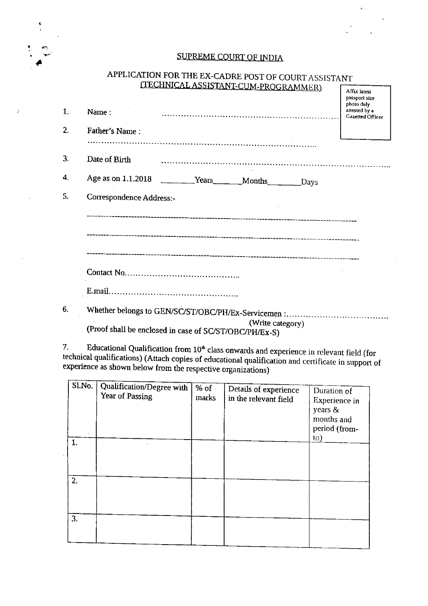

| 1. | Name:                    | <u> ANG SIMBADO IS IAN I-COM-PROGRAMMER)</u>                                                                                                                                                                                                                                                                                                                                                                                                                | <b>Affix latest</b><br>passport size<br>photo duly<br>attested by a<br><b>Gazetted Officer</b> |
|----|--------------------------|-------------------------------------------------------------------------------------------------------------------------------------------------------------------------------------------------------------------------------------------------------------------------------------------------------------------------------------------------------------------------------------------------------------------------------------------------------------|------------------------------------------------------------------------------------------------|
| 2. | Father's Name:           |                                                                                                                                                                                                                                                                                                                                                                                                                                                             |                                                                                                |
| 3. | Date of Birth            |                                                                                                                                                                                                                                                                                                                                                                                                                                                             |                                                                                                |
| 4. | Age as on 1.1.2018       | $\frac{1}{\sqrt{1-\frac{1}{2}}}\frac{1}{\sqrt{1-\frac{1}{2}}}\frac{1}{\sqrt{1-\frac{1}{2}}}\frac{1}{\sqrt{1-\frac{1}{2}}}\frac{1}{\sqrt{1-\frac{1}{2}}}\frac{1}{\sqrt{1-\frac{1}{2}}}\frac{1}{\sqrt{1-\frac{1}{2}}}\frac{1}{\sqrt{1-\frac{1}{2}}}\frac{1}{\sqrt{1-\frac{1}{2}}}\frac{1}{\sqrt{1-\frac{1}{2}}}\frac{1}{\sqrt{1-\frac{1}{2}}}\frac{1}{\sqrt{1-\frac{1}{2}}}\frac{1}{\sqrt{1-\frac{1}{2}}}\frac{1}{\sqrt{1-\frac{$<br>$M$ onths<br><b>Days</b> |                                                                                                |
| 5. | Correspondence Address:- |                                                                                                                                                                                                                                                                                                                                                                                                                                                             |                                                                                                |
|    |                          |                                                                                                                                                                                                                                                                                                                                                                                                                                                             |                                                                                                |
|    |                          | -----------------------                                                                                                                                                                                                                                                                                                                                                                                                                                     |                                                                                                |
|    |                          |                                                                                                                                                                                                                                                                                                                                                                                                                                                             |                                                                                                |
|    |                          |                                                                                                                                                                                                                                                                                                                                                                                                                                                             |                                                                                                |
|    |                          |                                                                                                                                                                                                                                                                                                                                                                                                                                                             |                                                                                                |
| 6. |                          |                                                                                                                                                                                                                                                                                                                                                                                                                                                             |                                                                                                |
|    | $\sum_{n=1}^{\infty}$    | (Write category)                                                                                                                                                                                                                                                                                                                                                                                                                                            |                                                                                                |

# APPLICATION FOR THE EX-CADRE POST OF COURT ASSISTANT **TECHNICAL ASSISTANT-CHM-PROCE AMMEDY**

(Proof shall be enclosed in case of SC/ST/OBC/PH/Ex-S)

Educational Qualification from  $10<sup>th</sup>$  class onwards and experience in relevant field (for 7. technical qualifications) (Attach copies of educational qualification and certificate in support of experience as shown below from the respective organizations)

|    | Sl.No.   Qualification/Degree with<br>Year of Passing | $%$ of<br>marks | Details of experience<br>in the relevant field | Duration of<br>Experience in<br>years &<br>months and<br>period (from- |
|----|-------------------------------------------------------|-----------------|------------------------------------------------|------------------------------------------------------------------------|
| 1. |                                                       |                 |                                                | to)                                                                    |
| 2. |                                                       |                 |                                                |                                                                        |
| 3. |                                                       |                 |                                                |                                                                        |